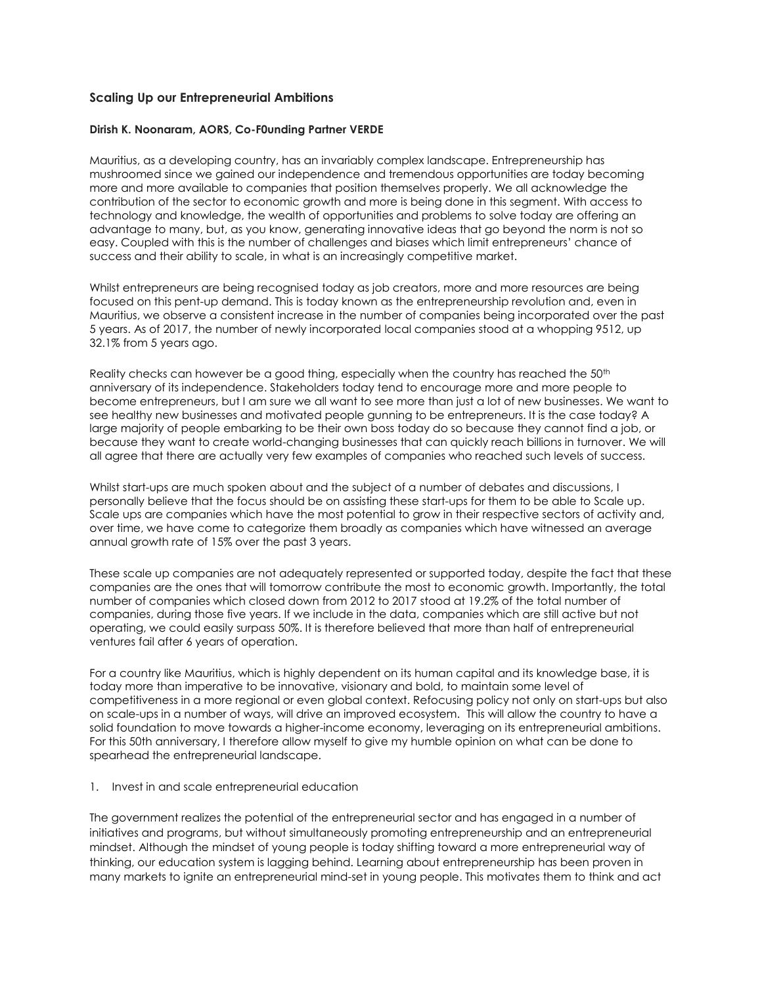# **Scaling Up our Entrepreneurial Ambitions**

#### **Dirish K. Noonaram, AORS, Co-F0unding Partner VERDE**

Mauritius, as a developing country, has an invariably complex landscape. Entrepreneurship has mushroomed since we gained our independence and tremendous opportunities are today becoming more and more available to companies that position themselves properly. We all acknowledge the contribution of the sector to economic growth and more is being done in this segment. With access to technology and knowledge, the wealth of opportunities and problems to solve today are offering an advantage to many, but, as you know, generating innovative ideas that go beyond the norm is not so easy. Coupled with this is the number of challenges and biases which limit entrepreneurs' chance of success and their ability to scale, in what is an increasingly competitive market.

Whilst entrepreneurs are being recognised today as job creators, more and more resources are being focused on this pent-up demand. This is today known as the entrepreneurship revolution and, even in Mauritius, we observe a consistent increase in the number of companies being incorporated over the past 5 years. As of 2017, the number of newly incorporated local companies stood at a whopping 9512, up 32.1% from 5 years ago.

Reality checks can however be a good thing, especially when the country has reached the  $50<sup>th</sup>$ anniversary of its independence. Stakeholders today tend to encourage more and more people to become entrepreneurs, but I am sure we all want to see more than just a lot of new businesses. We want to see healthy new businesses and motivated people gunning to be entrepreneurs. It is the case today? A large majority of people embarking to be their own boss today do so because they cannot find a job, or because they want to create world-changing businesses that can quickly reach billions in turnover. We will all agree that there are actually very few examples of companies who reached such levels of success.

Whilst start-ups are much spoken about and the subject of a number of debates and discussions, I personally believe that the focus should be on assisting these start-ups for them to be able to Scale up. Scale ups are companies which have the most potential to grow in their respective sectors of activity and, over time, we have come to categorize them broadly as companies which have witnessed an average annual growth rate of 15% over the past 3 years.

These scale up companies are not adequately represented or supported today, despite the fact that these companies are the ones that will tomorrow contribute the most to economic growth. Importantly, the total number of companies which closed down from 2012 to 2017 stood at 19.2% of the total number of companies, during those five years. If we include in the data, companies which are still active but not operating, we could easily surpass 50%. It is therefore believed that more than half of entrepreneurial ventures fail after 6 years of operation.

For a country like Mauritius, which is highly dependent on its human capital and its knowledge base, it is today more than imperative to be innovative, visionary and bold, to maintain some level of competitiveness in a more regional or even global context. Refocusing policy not only on start-ups but also on scale-ups in a number of ways, will drive an improved ecosystem. This will allow the country to have a solid foundation to move towards a higher-income economy, leveraging on its entrepreneurial ambitions. For this 50th anniversary, I therefore allow myself to give my humble opinion on what can be done to spearhead the entrepreneurial landscape.

1. Invest in and scale entrepreneurial education

The government realizes the potential of the entrepreneurial sector and has engaged in a number of initiatives and programs, but without simultaneously promoting entrepreneurship and an entrepreneurial mindset. Although the mindset of young people is today shifting toward a more entrepreneurial way of thinking, our education system is lagging behind. Learning about entrepreneurship has been proven in many markets to ignite an [entrepreneurial mind-set](http://www.nfte.com/entrepreneurial-mindset) in young people. This motivates them to think and act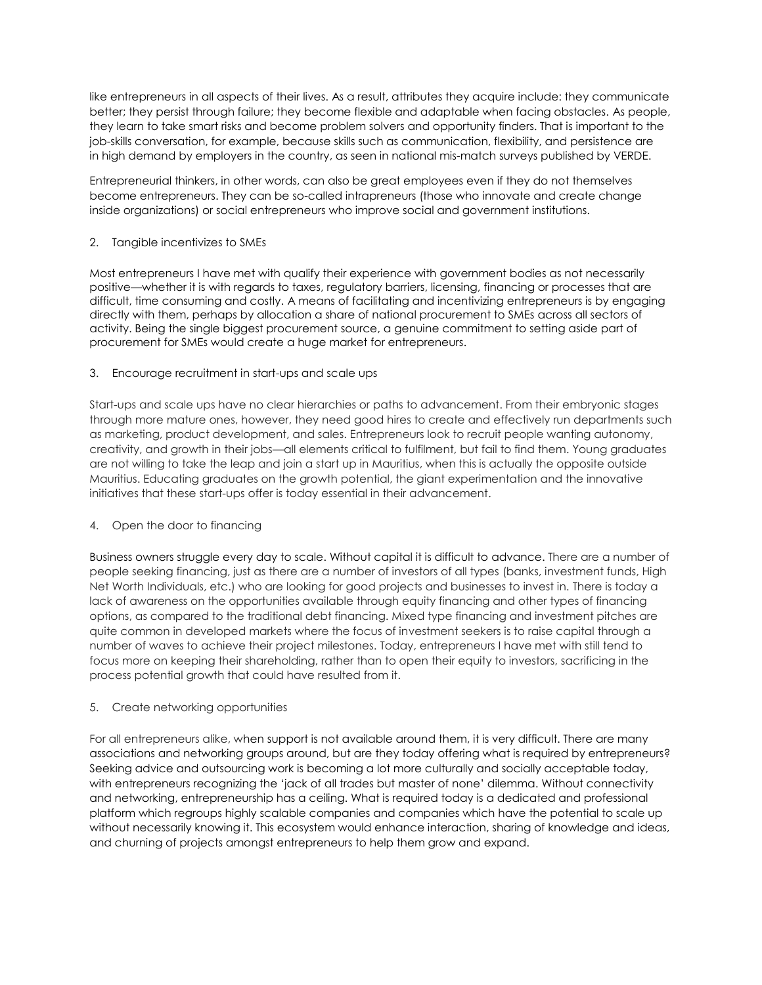like entrepreneurs in all aspects of their lives. As a result, attributes they acquire include: they communicate better; they persist through failure; they become flexible and adaptable when facing obstacles. As people, they learn to take smart risks and become problem solvers and opportunity finders. That is important to the job-skills conversation, for example, because skills such as communication, flexibility, and persistence are in [high demand](https://hbr.org/2014/03/the-seven-skills-you-need-to-thrive-in-the-c-suite/) by employers in the country, as seen in national mis-match surveys published by VERDE.

Entrepreneurial thinkers, in other words, can also be great employees even if they do not themselves become entrepreneurs. They can be so-called intrapreneurs (those who innovate and create change inside organizations) or social entrepreneurs who improve social and government institutions.

## 2. Tangible incentivizes to SMEs

Most entrepreneurs I have met with qualify their experience with government bodies as not necessarily positive—whether it is with regards to taxes, regulatory barriers, licensing, financing or processes that are difficult, time consuming and costly. A means of facilitating and incentivizing entrepreneurs is by engaging directly with them, perhaps by allocation a share of national procurement to SMEs across all sectors of activity. Being the single biggest procurement source, a genuine commitment to setting aside part of procurement for SMEs would create a huge market for entrepreneurs.

#### 3. Encourage recruitment in start-ups and scale ups

Start-ups and scale ups have no clear hierarchies or paths to advancement. From their embryonic stages through more mature ones, however, they need good hires to create and effectively run departments such as marketing, product development, and sales. Entrepreneurs look to recruit people wanting autonomy, creativity, and growth in their jobs—all elements critical to fulfilment, but fail to find them. Young graduates are not willing to take the leap and join a start up in Mauritius, when this is actually the opposite outside Mauritius. Educating graduates on the growth potential, the giant experimentation and the innovative initiatives that these start-ups offer is today essential in their advancement.

# 4. Open the door to financing

Business owners struggle every day to scale. Without capital it is difficult to [advance.](https://www.fastcompany.com/3051732/the-future-of-work/how-companies-can-attract-the-best-young-talent) There are a number of people seeking financing, just as there are a number of investors of all types (banks, investment funds, High Net Worth Individuals, etc.) who are looking for good projects and businesses to invest in. There is today a lack of awareness on the opportunities available through equity financing and other types of financing options, as compared to the traditional debt financing. Mixed type financing and investment pitches are quite common in developed markets where the focus of investment seekers is to raise capital through a number of waves to achieve their project milestones. Today, entrepreneurs I have met with still tend to focus more on keeping their shareholding, rather than to open their equity to investors, sacrificing in the process potential growth that could have resulted from it.

# 5. Create networking opportunities

For all entrepreneurs alike, when support is not available around them, it is very difficult. There are many associations and networking groups around, but are they today offering what is required by entrepreneurs? Seeking advice and outsourcing work is becoming a lot more culturally and socially acceptable today, with entrepreneurs recognizing the 'jack of all trades but master of none' dilemma. Without connectivity and networking, entrepreneurship has a ceiling. What is required today is a dedicated and professional platform which regroups highly scalable companies and companies which have the potential to scale up without necessarily knowing it. This ecosystem would enhance interaction, sharing of knowledge and ideas, and churning of projects amongst entrepreneurs to help them grow and expand.